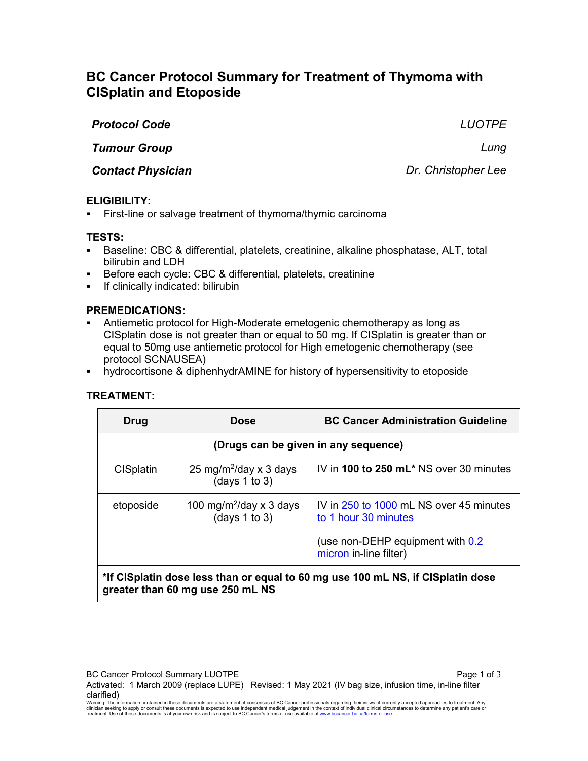# **BC Cancer Protocol Summary for Treatment of Thymoma with CISplatin and Etoposide**

| <b>Protocol Code</b>     | <b>LUOTPE</b>       |
|--------------------------|---------------------|
| <b>Tumour Group</b>      | Luna                |
| <b>Contact Physician</b> | Dr. Christopher Lee |

## **ELIGIBILITY:**

First-line or salvage treatment of thymoma/thymic carcinoma

## **TESTS:**

- Baseline: CBC & differential, platelets, creatinine, alkaline phosphatase, ALT, total bilirubin and LDH
- **Before each cycle: CBC & differential, platelets, creatinine**
- **If clinically indicated: bilirubin**

## **PREMEDICATIONS:**

- Antiemetic protocol for High-Moderate emetogenic chemotherapy as long as CISplatin dose is not greater than or equal to 50 mg. If CISplatin is greater than or equal to 50mg use antiemetic protocol for High emetogenic chemotherapy (see protocol SCNAUSEA)
- hydrocortisone & diphenhydrAMINE for history of hypersensitivity to etoposide

## **TREATMENT:**

| Drug                                                                            | <b>Dose</b>                                          | <b>BC Cancer Administration Guideline</b>                                                                                      |
|---------------------------------------------------------------------------------|------------------------------------------------------|--------------------------------------------------------------------------------------------------------------------------------|
| (Drugs can be given in any sequence)                                            |                                                      |                                                                                                                                |
| <b>CISplatin</b>                                                                | 25 mg/m <sup>2</sup> /day x 3 days<br>(days 1 to 3)  | IV in 100 to 250 mL* NS over 30 minutes                                                                                        |
| etoposide                                                                       | 100 mg/m <sup>2</sup> /day x 3 days<br>(days 1 to 3) | IV in 250 to 1000 mL NS over 45 minutes<br>to 1 hour 30 minutes<br>(use non-DEHP equipment with 0.2)<br>micron in-line filter) |
| *If CISplatin doep loss than or oqual to 60 mg uso 100 mL NS. if CISplatin doso |                                                      |                                                                                                                                |

#### **\*If CISplatin dose less than or equal to 60 mg use 100 mL NS, if CISplatin dose greater than 60 mg use 250 mL NS**

Activated: 1 March 2009 (replace LUPE) Revised: 1 May 2021 (IV bag size, infusion time, in-line filter clarified)

Warning: The information contained in these documents are a statement of consensus of BC Cancer professionals regarding their views of currently accepted approaches to treatment. Any<br>clinician seeking to apply or consult t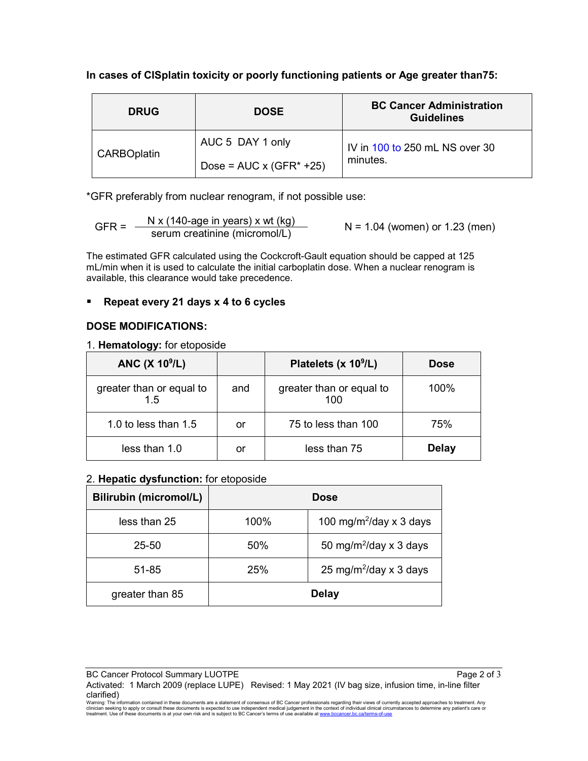## **In cases of CISplatin toxicity or poorly functioning patients or Age greater than75:**

| <b>DRUG</b>        | <b>DOSE</b>                     | <b>BC Cancer Administration</b><br><b>Guidelines</b> |  |
|--------------------|---------------------------------|------------------------------------------------------|--|
|                    | AUC 5 DAY 1 only                | IV in 100 to 250 mL NS over 30                       |  |
| <b>CARBOplatin</b> | Dose = $AUC \times (GFR^* +25)$ | minutes.                                             |  |

\*GFR preferably from nuclear renogram, if not possible use:

GFR =  $\frac{N x (140\text{-age in years}) x wt (kg)}{s$  N = 1.04 (women) or 1.23 (men)

The estimated GFR calculated using the Cockcroft-Gault equation should be capped at 125 mL/min when it is used to calculate the initial carboplatin dose. When a nuclear renogram is available, this clearance would take precedence.

# **Repeat every 21 days x 4 to 6 cycles**

# **DOSE MODIFICATIONS:**

#### 1. **Hematology:** for etoposide

| ANC $(X 109/L)$                |     | Platelets (x 10 <sup>9</sup> /L) | <b>Dose</b>  |
|--------------------------------|-----|----------------------------------|--------------|
| greater than or equal to<br>15 | and | greater than or equal to<br>100  | $100\%$      |
| 1.0 to less than $1.5$         | or  | 75 to less than 100              | 75%          |
| less than 1.0                  | or  | less than 75                     | <b>Delay</b> |

## 2. **Hepatic dysfunction:** for etoposide

| <b>Bilirubin (micromol/L)</b> |      | <b>Dose</b>                         |
|-------------------------------|------|-------------------------------------|
| less than 25                  | 100% | 100 mg/m <sup>2</sup> /day x 3 days |
| 25-50                         | 50%  | 50 mg/m <sup>2</sup> /day x 3 days  |
| 51-85                         | 25%  | 25 mg/m <sup>2</sup> /day x 3 days  |
| greater than 85               |      | <b>Delay</b>                        |

BC Cancer Protocol Summary LUOTPE **Page 2 of 3** and 3 and 3 and 3 and 3 and 3 and 3 and 3 and 3 and 4 and 4 and 4 and 4 and 4 and 4 and 4 and 4 and 4 and 4 and 4 and 4 and 4 and 4 and 4 and 4 and 4 and 4 and 4 and 4 and 4 Activated: 1 March 2009 (replace LUPE) Revised: 1 May 2021 (IV bag size, infusion time, in-line filter clarified)

Warning: The information contained in these documents are a statement of consensus of BC Cancer professionals regarding their views of currently accepted approaches to treatment. Any<br>clinician seeking to apply or consult t